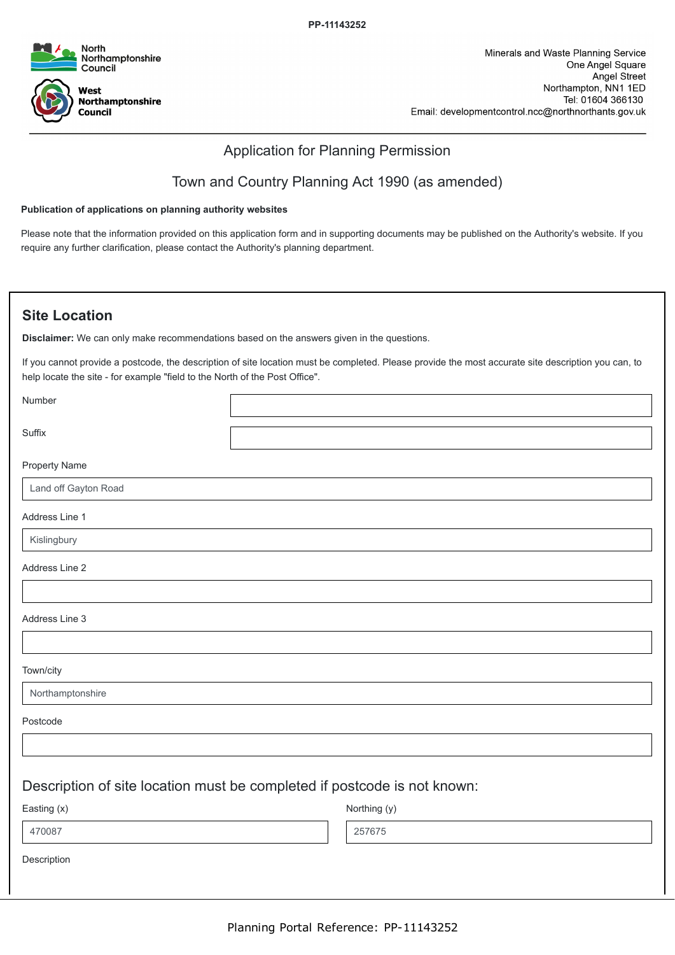

### Application for Planning Permission

## Town and Country Planning Act 1990 (as amended)

#### **Publication of applications on planning authority websites**

Please note that the information provided on this application form and in supporting documents may be published on the Authority's website. If you require any further clarification, please contact the Authority's planning department.

### **Site Location**

**Disclaimer:** We can only make recommendations based on the answers given in the questions.

If you cannot provide a postcode, the description of site location must be completed. Please provide the most accurate site description you can, to help locate the site - for example "field to the North of the Post Office".

Number

Suffix

Property Name

Land off Gayton Road

Address Line 1

Kislingbury

Address Line 2

Address Line 3

Town/city

Northamptonshire

Postcode

### Description of site location must be completed if postcode is not known:

Easting (x) 470087

Northing (y) 257675

Description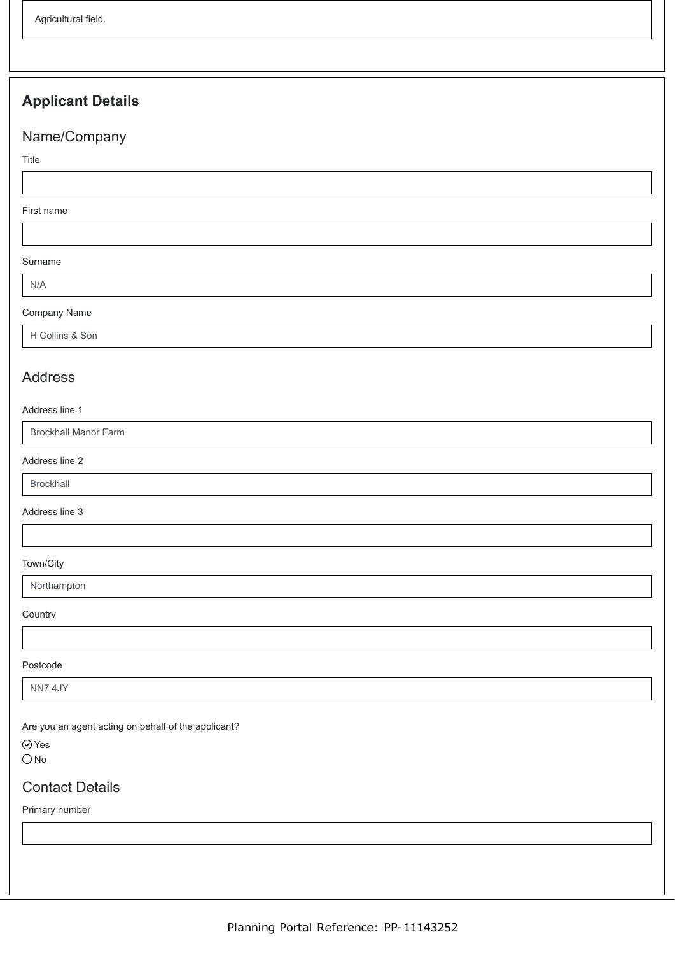# **Applicant Details**

# Name/Company

Title

#### First name

Surname

N/A

### Company Name

H Collins & Son

### Address

#### Address line 1

Brockhall Manor Farm

Address line 2

Brockhall

Address line 3

#### Town/City

Northampton

**Country** 

Postcode

NN7 4JY

Are you an agent acting on behalf of the applicant?

⊙ Yes  $\bigcirc$  No

## Contact Details

Primary number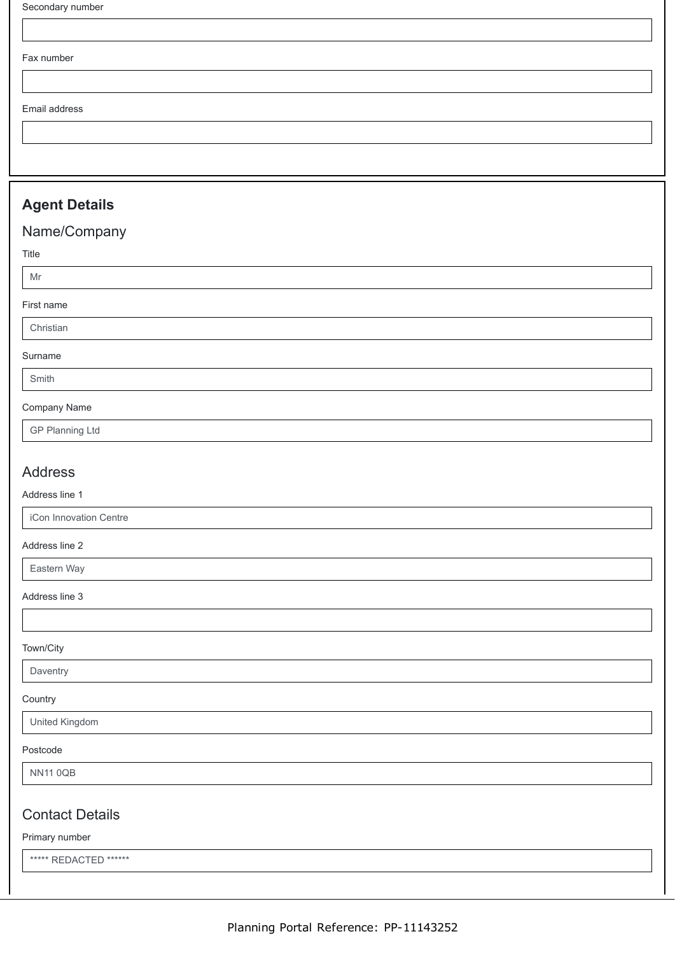Fax number

Email address

## **Agent Details**

# Name/Company

### Title

Mr

#### First name

Christian

#### Surname

Smith

#### Company Name

GP Planning Ltd

### Address

### Address line 1

iCon Innovation Centre

### Address line 2

Eastern Way

### Address line 3

#### Town/City

### **Daventry**

**Country** 

#### United Kingdom

#### Postcode

NN11 0QB

### Contact Details

#### Primary number

\*\*\*\*\* REDACTED \*\*\*\*\*\*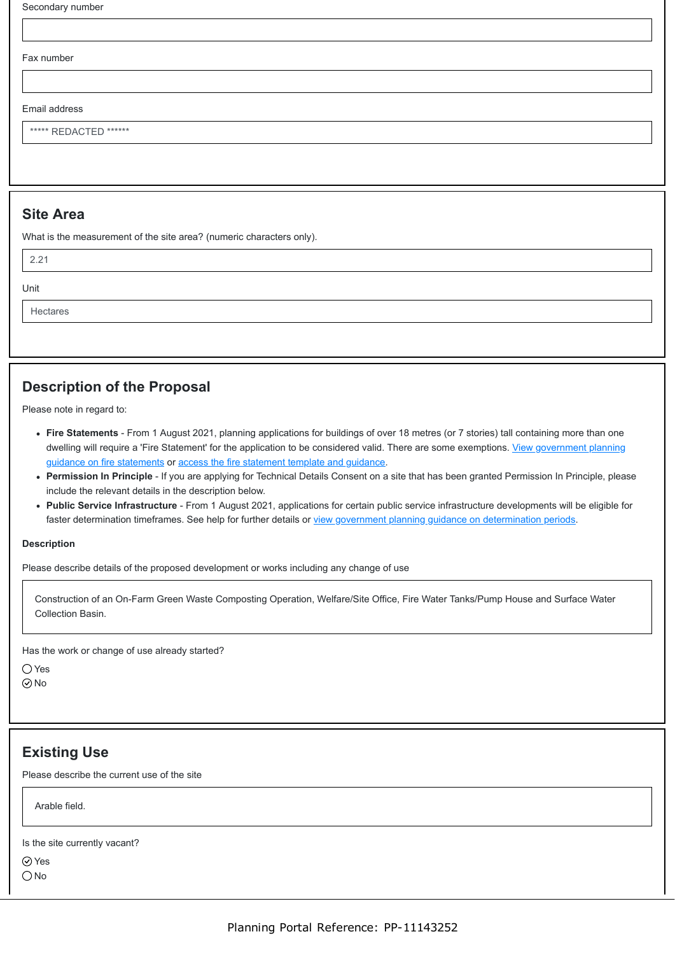Secondary number

Fax number

Email address

\*\*\*\*\*\* REDACTED \*\*\*\*\*\*

### **Site Area**

What is the measurement of the site area? (numeric characters only).

2.21

Unit

Hectares

## **Description of the Proposal**

Please note in regard to:

- **Fire Statements** From 1 August 2021, planning applications for buildings of over 18 metres (or 7 stories) tall containing more than one [dwelling will require a 'Fire Statement' for the application to be considered valid. There are some exemptions. View government planning](https://www.gov.uk/guidance/fire-safety-and-high-rise-residential-buildings-from-1-august-2021) guidance on fire statements or [access the fire statement template and guidance.](https://www.gov.uk/government/publications/planning-application-forms-templates-for-local-planning-authorities#attachment_5328788)
- **Permission In Principle** If you are applying for Technical Details Consent on a site that has been granted Permission In Principle, please include the relevant details in the description below.
- **Public Service Infrastructure** From 1 August 2021, applications for certain public service infrastructure developments will be eligible for faster determination timeframes. See help for further details or [view government planning guidance on determination periods](https://www.gov.uk/guidance/determining-a-planning-application#what-are-the-time-periods-for-determining-a-planning-application).

#### **Description**

Please describe details of the proposed development or works including any change of use

Construction of an On-Farm Green Waste Composting Operation, Welfare/Site Office, Fire Water Tanks/Pump House and Surface Water Collection Basin.

Has the work or change of use already started?

 $\bigcap$  Yes

No

### **Existing Use**

Please describe the current use of the site

Arable field.

Is the site currently vacant?

Yes

 $\bigcirc$  No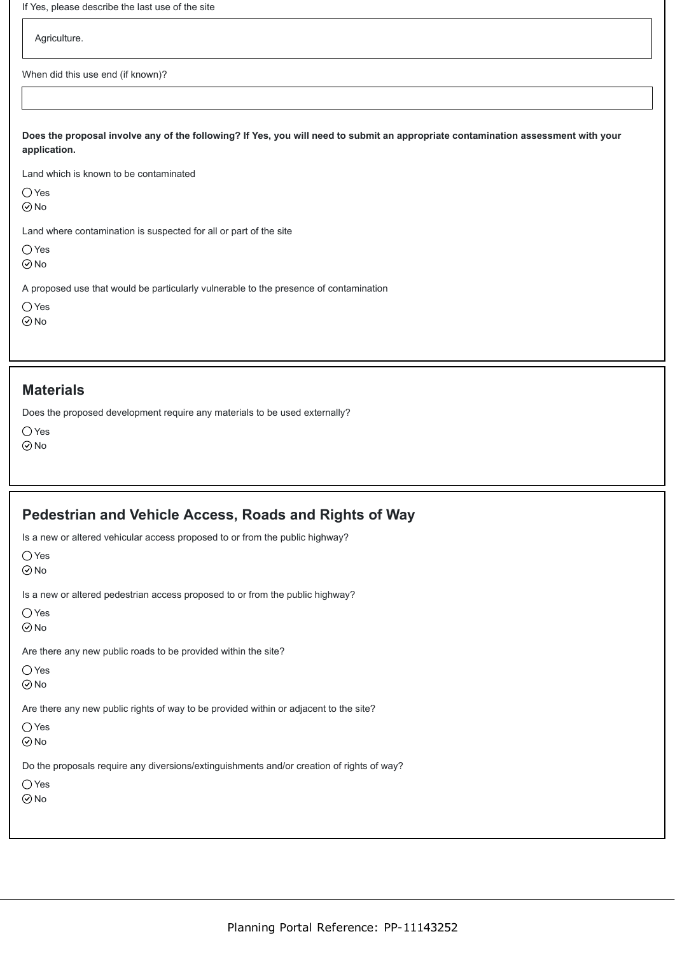| If Yes, please describe the last use of the site |                                                                                                                                   |  |  |
|--------------------------------------------------|-----------------------------------------------------------------------------------------------------------------------------------|--|--|
| Agriculture.                                     |                                                                                                                                   |  |  |
| When did this use end (if known)?                |                                                                                                                                   |  |  |
|                                                  |                                                                                                                                   |  |  |
| application.                                     | Does the proposal involve any of the following? If Yes, you will need to submit an appropriate contamination assessment with your |  |  |
|                                                  | Land which is known to be contaminated                                                                                            |  |  |
| $\bigcirc$ Yes<br>$\odot$ No                     |                                                                                                                                   |  |  |
|                                                  | Land where contamination is suspected for all or part of the site                                                                 |  |  |
| $\bigcirc$ Yes<br>$\odot$ No                     |                                                                                                                                   |  |  |
|                                                  |                                                                                                                                   |  |  |
|                                                  | A proposed use that would be particularly vulnerable to the presence of contamination                                             |  |  |

### **Materials**

Does the proposed development require any materials to be used externally?

Yes  $\odot$ No

**Pedestrian and Vehicle Access, Roads and Rights of Way**

| Is a new or altered vehicular access proposed to or from the public highway?              |
|-------------------------------------------------------------------------------------------|
| $\bigcirc$ Yes                                                                            |
| $\odot$ No                                                                                |
| Is a new or altered pedestrian access proposed to or from the public highway?             |
| () Yes<br>$\odot$ No                                                                      |
| Are there any new public roads to be provided within the site?                            |
| $\bigcirc$ Yes                                                                            |
| $\odot$ No                                                                                |
| Are there any new public rights of way to be provided within or adjacent to the site?     |
| $\bigcirc$ Yes                                                                            |
| $\odot$ No                                                                                |
| Do the proposals require any diversions/extinguishments and/or creation of rights of way? |
| $\bigcirc$ Yes                                                                            |
| $\odot$ No                                                                                |
|                                                                                           |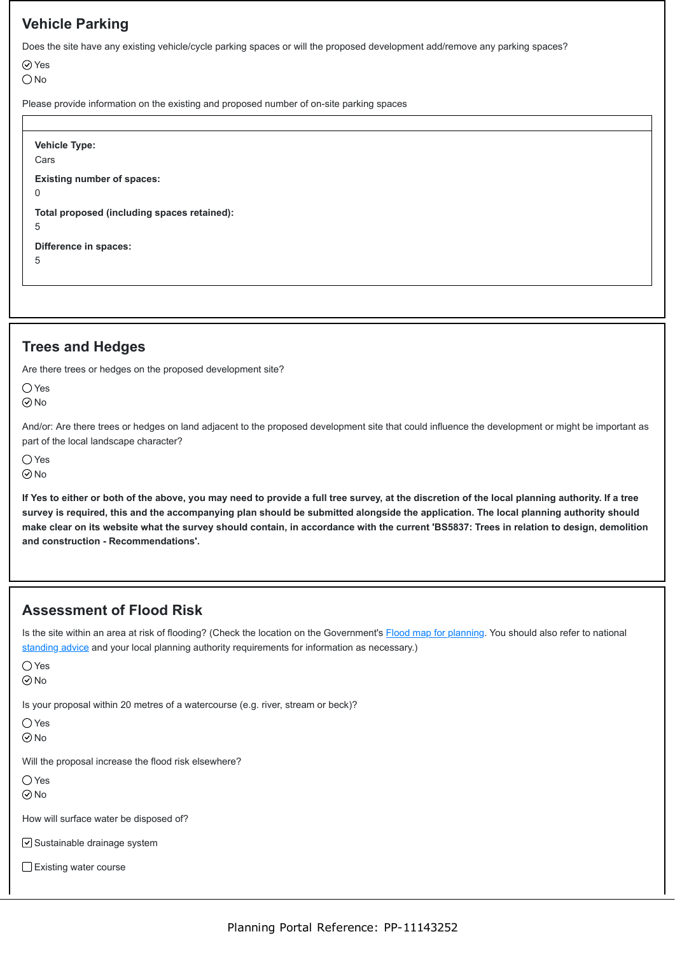# **Vehicle Parking**

Does the site have any existing vehicle/cycle parking spaces or will the proposed development add/remove any parking spaces?

Yes

 $\bigcirc$  No

Please provide information on the existing and proposed number of on-site parking spaces

**Vehicle Type:** Cars **Existing number of spaces:**  $\Omega$ **Total proposed (including spaces retained):** 5 **Difference in spaces:** 5

## **Trees and Hedges**

Are there trees or hedges on the proposed development site?

○Yes

 $\odot$ No

And/or: Are there trees or hedges on land adjacent to the proposed development site that could influence the development or might be important as part of the local landscape character?

○Yes

⊙No

**If Yes to either or both of the above, you may need to provide a full tree survey, at the discretion of the local planning authority. If a tree survey is required, this and the accompanying plan should be submitted alongside the application. The local planning authority should make clear on its website what the survey should contain, in accordance with the current 'BS5837: Trees in relation to design, demolition and construction - Recommendations'.**

# **Assessment of Flood Risk**

Is the site within an area at risk of flooding? (Check the location on the Government's [Flood map for planning](https://flood-map-for-planning.service.gov.uk/). You should also refer to national [standing advice](https://www.gov.uk/guidance/flood-risk-assessment-standing-advice) and your local planning authority requirements for information as necessary.)

|--|--|

 $\odot$ No

Is your proposal within 20 metres of a watercourse (e.g. river, stream or beck)?

Yes

No

Will the proposal increase the flood risk elsewhere?

 $\bigcirc$  Yes

No

How will surface water be disposed of?

**⊘** Sustainable drainage system

Existing water course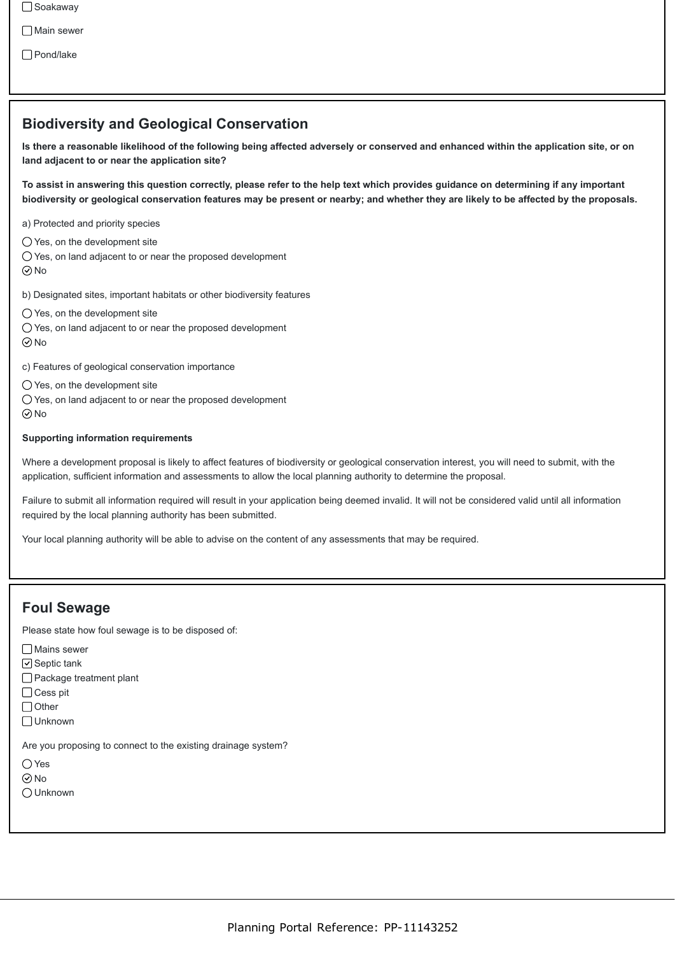□ Soakaway

□ Main sewer

Pond/lake

### **Biodiversity and Geological Conservation**

**Is there a reasonable likelihood of the following being affected adversely or conserved and enhanced within the application site, or on land adjacent to or near the application site?**

**To assist in answering this question correctly, please refer to the help text which provides guidance on determining if any important biodiversity or geological conservation features may be present or nearby; and whether they are likely to be affected by the proposals.**

a) Protected and priority species

Yes, on the development site

 $\bigcirc$  Yes, on land adjacent to or near the proposed development  $\odot$  No

b) Designated sites, important habitats or other biodiversity features

 $\bigcirc$  Yes, on the development site

Yes, on land adjacent to or near the proposed development

No

c) Features of geological conservation importance

 $\bigcirc$  Yes, on the development site

Yes, on land adjacent to or near the proposed development  $\odot$ No

#### **Supporting information requirements**

Where a development proposal is likely to affect features of biodiversity or geological conservation interest, you will need to submit, with the application, sufficient information and assessments to allow the local planning authority to determine the proposal.

Failure to submit all information required will result in your application being deemed invalid. It will not be considered valid until all information required by the local planning authority has been submitted.

Your local planning authority will be able to advise on the content of any assessments that may be required.

### **Foul Sewage**

Please state how foul sewage is to be disposed of:

Mains sewer

 $\Box$  Septic tank

Package treatment plant

 $\bigcap$  Cess pit

 $\bigcap$  Other

Unknown

Are you proposing to connect to the existing drainage system?

Yes

No

Unknown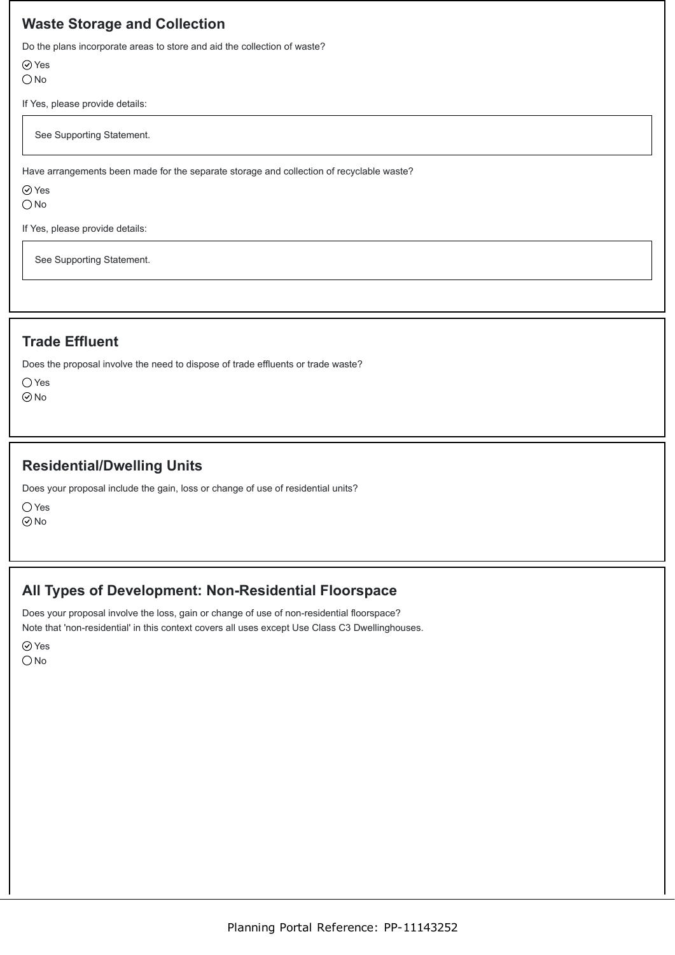## **Waste Storage and Collection**

Do the plans incorporate areas to store and aid the collection of waste?

Yes

 $\bigcirc$  No

If Yes, please provide details:

See Supporting Statement.

Have arrangements been made for the separate storage and collection of recyclable waste?

Yes

 $\bigcirc$  No

If Yes, please provide details:

See Supporting Statement.

# **Trade Effluent**

Does the proposal involve the need to dispose of trade effluents or trade waste?

 $\bigcirc$  Yes

No

# **Residential/Dwelling Units**

Does your proposal include the gain, loss or change of use of residential units?

○Yes

No

# **All Types of Development: Non-Residential Floorspace**

Does your proposal involve the loss, gain or change of use of non-residential floorspace? Note that 'non-residential' in this context covers all uses except Use Class C3 Dwellinghouses.

**⊘**Yes  $\bigcirc$  No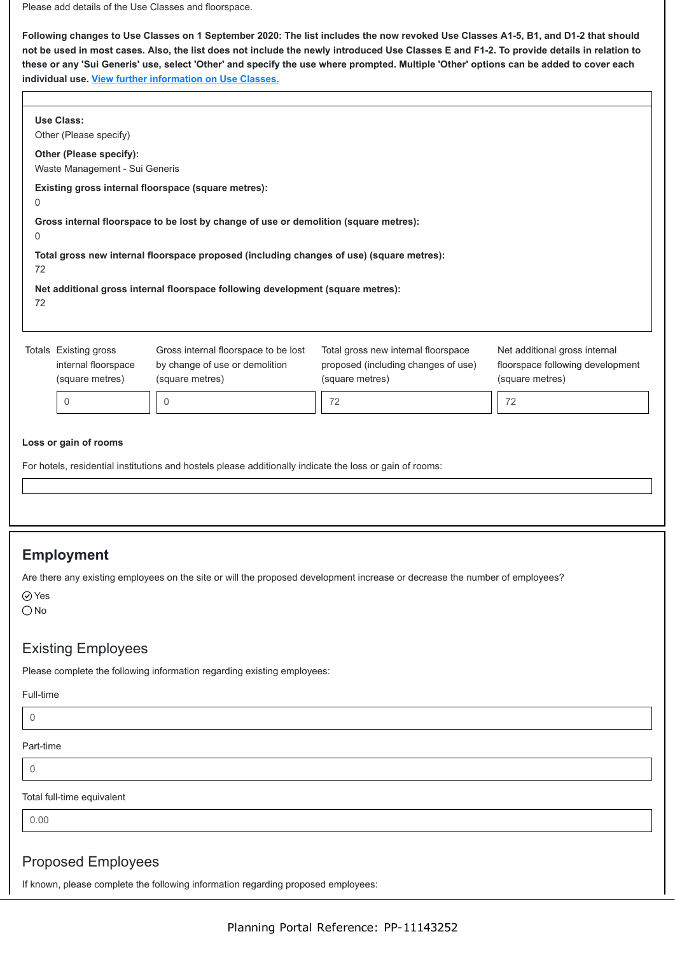Please add details of the Use Classes and floorspace.

**Following changes to Use Classes on 1 September 2020: The list includes the now revoked Use Classes A1-5, B1, and D1-2 that should not be used in most cases. Also, the list does not include the newly introduced Use Classes E and F1-2. To provide details in relation to these or any 'Sui Generis' use, select 'Other' and specify the use where prompted. Multiple 'Other' options can be added to cover each individual use. [View further information on Use Classes.](https://www.planningportal.co.uk/info/200130/common_projects/9/change_of_use)**

|                                                                                                                                                                                             | <b>Use Class:</b><br>Other (Please specify)                     |                                                                                           |                                                                                                                             |                                                                                      |  |
|---------------------------------------------------------------------------------------------------------------------------------------------------------------------------------------------|-----------------------------------------------------------------|-------------------------------------------------------------------------------------------|-----------------------------------------------------------------------------------------------------------------------------|--------------------------------------------------------------------------------------|--|
| Other (Please specify):<br>Waste Management - Sui Generis                                                                                                                                   |                                                                 |                                                                                           |                                                                                                                             |                                                                                      |  |
| Existing gross internal floorspace (square metres):<br>0                                                                                                                                    |                                                                 |                                                                                           |                                                                                                                             |                                                                                      |  |
| Gross internal floorspace to be lost by change of use or demolition (square metres):<br>0<br>Total gross new internal floorspace proposed (including changes of use) (square metres):<br>72 |                                                                 |                                                                                           |                                                                                                                             |                                                                                      |  |
|                                                                                                                                                                                             |                                                                 |                                                                                           |                                                                                                                             |                                                                                      |  |
|                                                                                                                                                                                             | Totals Existing gross<br>internal floorspace<br>(square metres) | Gross internal floorspace to be lost<br>by change of use or demolition<br>(square metres) | Total gross new internal floorspace<br>proposed (including changes of use)<br>(square metres)                               | Net additional gross internal<br>floorspace following development<br>(square metres) |  |
|                                                                                                                                                                                             | $\mathbf 0$                                                     | 0                                                                                         | 72                                                                                                                          | 72                                                                                   |  |
|                                                                                                                                                                                             |                                                                 |                                                                                           |                                                                                                                             |                                                                                      |  |
|                                                                                                                                                                                             | <b>Employment</b>                                               |                                                                                           |                                                                                                                             |                                                                                      |  |
| $\odot$ Yes<br>$\bigcirc$ No                                                                                                                                                                |                                                                 |                                                                                           | Are there any existing employees on the site or will the proposed development increase or decrease the number of employees? |                                                                                      |  |
|                                                                                                                                                                                             | <b>Existing Employees</b>                                       |                                                                                           |                                                                                                                             |                                                                                      |  |
|                                                                                                                                                                                             |                                                                 | Please complete the following information regarding existing employees:                   |                                                                                                                             |                                                                                      |  |
| Full-time                                                                                                                                                                                   |                                                                 |                                                                                           |                                                                                                                             |                                                                                      |  |
| $\mathbf 0$                                                                                                                                                                                 |                                                                 |                                                                                           |                                                                                                                             |                                                                                      |  |
| Part-time                                                                                                                                                                                   |                                                                 |                                                                                           |                                                                                                                             |                                                                                      |  |
| $\overline{0}$                                                                                                                                                                              |                                                                 |                                                                                           |                                                                                                                             |                                                                                      |  |
| Total full-time equivalent                                                                                                                                                                  |                                                                 |                                                                                           |                                                                                                                             |                                                                                      |  |
| 0.00                                                                                                                                                                                        |                                                                 |                                                                                           |                                                                                                                             |                                                                                      |  |

### Proposed Employees

If known, please complete the following information regarding proposed employees: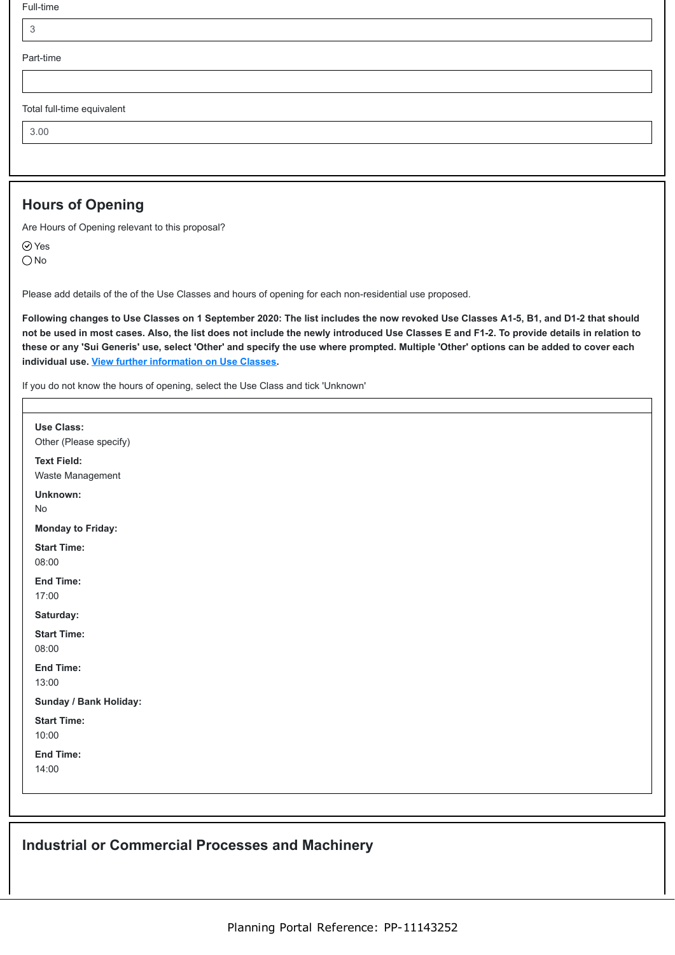|  | Full-time |
|--|-----------|
|--|-----------|

| Part-time |  |  |  |
|-----------|--|--|--|
|           |  |  |  |

Total full-time equivalent

3.00

## **Hours of Opening**

Are Hours of Opening relevant to this proposal?

Yes

O<sub>No</sub>

Please add details of the of the Use Classes and hours of opening for each non-residential use proposed.

**Following changes to Use Classes on 1 September 2020: The list includes the now revoked Use Classes A1-5, B1, and D1-2 that should not be used in most cases. Also, the list does not include the newly introduced Use Classes E and F1-2. To provide details in relation to these or any 'Sui Generis' use, select 'Other' and specify the use where prompted. Multiple 'Other' options can be added to cover each individual use. [View further information on Use Classes.](https://www.planningportal.co.uk/info/200130/common_projects/9/change_of_use)**

If you do not know the hours of opening, select the Use Class and tick 'Unknown'

| Use Class:<br>Other (Please specify)<br><b>Text Field:</b><br>Waste Management<br>Unknown:<br>No<br><b>Monday to Friday:</b><br><b>Start Time:</b><br>08:00<br><b>End Time:</b><br>17:00<br>Saturday:<br><b>Start Time:</b><br>08:00<br><b>End Time:</b><br>13:00<br>Sunday / Bank Holiday:<br><b>Start Time:</b><br>10:00<br><b>End Time:</b><br>14:00 |  |
|---------------------------------------------------------------------------------------------------------------------------------------------------------------------------------------------------------------------------------------------------------------------------------------------------------------------------------------------------------|--|
|                                                                                                                                                                                                                                                                                                                                                         |  |
|                                                                                                                                                                                                                                                                                                                                                         |  |
|                                                                                                                                                                                                                                                                                                                                                         |  |
|                                                                                                                                                                                                                                                                                                                                                         |  |
|                                                                                                                                                                                                                                                                                                                                                         |  |
|                                                                                                                                                                                                                                                                                                                                                         |  |
|                                                                                                                                                                                                                                                                                                                                                         |  |
|                                                                                                                                                                                                                                                                                                                                                         |  |
|                                                                                                                                                                                                                                                                                                                                                         |  |
|                                                                                                                                                                                                                                                                                                                                                         |  |
|                                                                                                                                                                                                                                                                                                                                                         |  |
|                                                                                                                                                                                                                                                                                                                                                         |  |
|                                                                                                                                                                                                                                                                                                                                                         |  |

## **Industrial or Commercial Processes and Machinery**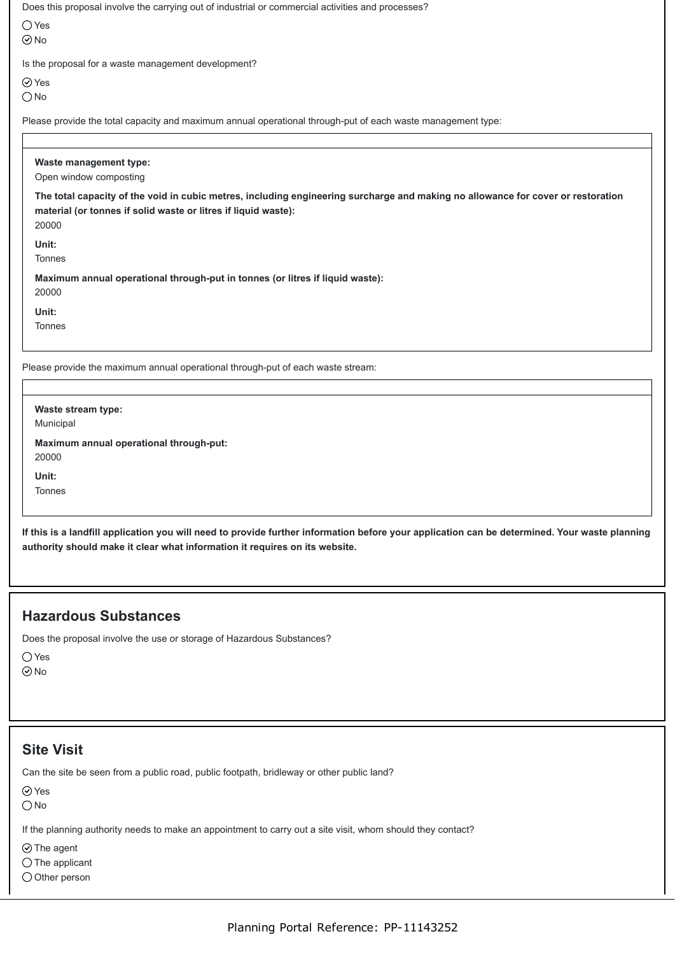| Does this proposal involve the carrying out of industrial or commercial activities and processes?                                                                                    |
|--------------------------------------------------------------------------------------------------------------------------------------------------------------------------------------|
| $\bigcirc$ Yes                                                                                                                                                                       |
| $\odot$ No                                                                                                                                                                           |
| Is the proposal for a waste management development?                                                                                                                                  |
| $\odot$ Yes                                                                                                                                                                          |
| $\bigcirc$ No                                                                                                                                                                        |
| Please provide the total capacity and maximum annual operational through-put of each waste management type:                                                                          |
|                                                                                                                                                                                      |
| Waste management type:<br>Open window composting<br>The total capacity of the void in cubic metres, including engineering surcharge and making no allowance for cover or restoration |
| material (or tonnes if solid waste or litres if liquid waste):<br>20000                                                                                                              |
| Unit:                                                                                                                                                                                |

**Maximum annual operational through-put in tonnes (or litres if liquid waste):** 20000

**Unit:**

Tonnes

Please provide the maximum annual operational through-put of each waste stream:

**Waste stream type:** Municipal **Maximum annual operational through-put:** 20000 **Unit:** Tonnes

**If this is a landfill application you will need to provide further information before your application can be determined. Your waste planning authority should make it clear what information it requires on its website.**

## **Hazardous Substances**

Does the proposal involve the use or storage of Hazardous Substances?

Yes

No

### **Site Visit**

Can the site be seen from a public road, public footpath, bridleway or other public land?

⊘ Yes

 $\bigcirc$  No

If the planning authority needs to make an appointment to carry out a site visit, whom should they contact?

 $\odot$  The agent

 $\bigcirc$  The applicant

O Other person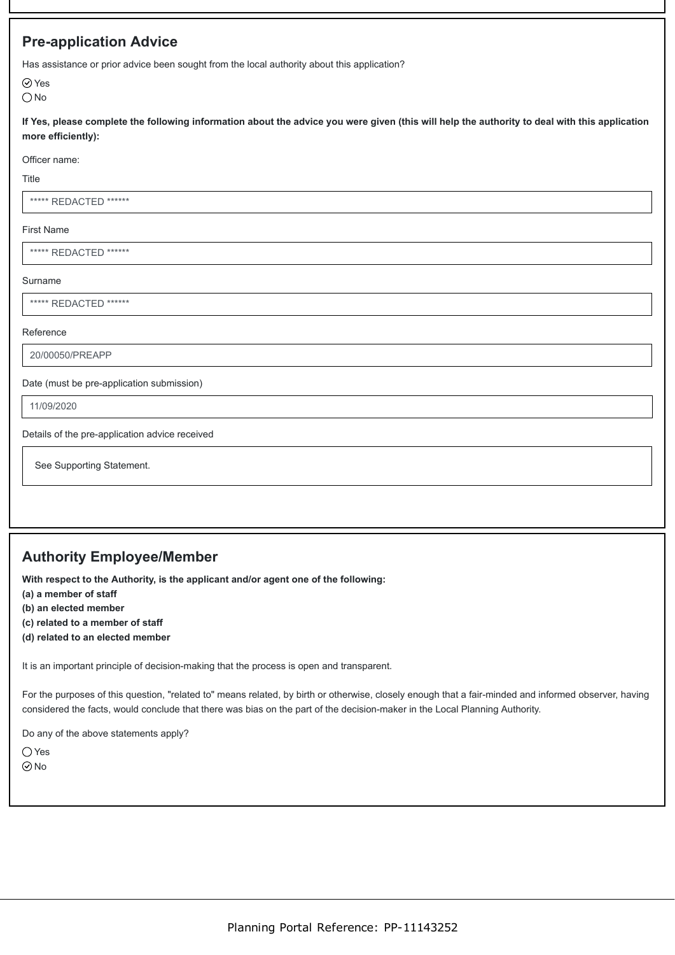## **Pre-application Advice**

Has assistance or prior advice been sought from the local authority about this application?

Yes  $\bigcirc$  No

**If Yes, please complete the following information about the advice you were given (this will help the authority to deal with this application more efficiently):**

Officer name:

Title

\*\*\*\*\* REDACTED \*\*\*\*\*\*

#### First Name

\*\*\*\*\*\* REDACTED \*\*\*\*\*\*

#### Surname

\*\*\*\*\*\* REDACTED \*\*\*\*\*\*

#### Reference

20/00050/PREAPP

Date (must be pre-application submission)

11/09/2020

Details of the pre-application advice received

See Supporting Statement.

# **Authority Employee/Member**

**With respect to the Authority, is the applicant and/or agent one of the following:**

**(a) a member of staff**

**(b) an elected member**

- **(c) related to a member of staff**
- **(d) related to an elected member**

It is an important principle of decision-making that the process is open and transparent.

For the purposes of this question, "related to" means related, by birth or otherwise, closely enough that a fair-minded and informed observer, having considered the facts, would conclude that there was bias on the part of the decision-maker in the Local Planning Authority.

Do any of the above statements apply?

 $\bigcap$  Yes

 $\odot$ No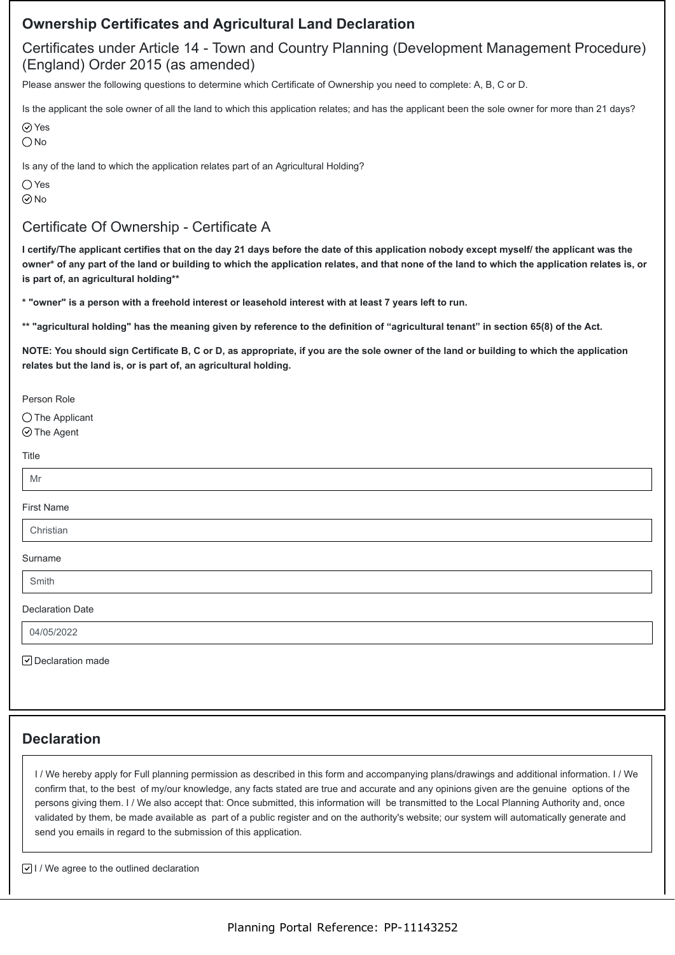## **Ownership Certificates and Agricultural Land Declaration**

# Certificates under Article 14 - Town and Country Planning (Development Management Procedure) (England) Order 2015 (as amended)

Please answer the following questions to determine which Certificate of Ownership you need to complete: A, B, C or D.

Is the applicant the sole owner of all the land to which this application relates; and has the applicant been the sole owner for more than 21 days?

**⊘**Yes

O<sub>No</sub>

Is any of the land to which the application relates part of an Agricultural Holding?

 $\bigcirc$  Yes  $\odot$ No

# Certificate Of Ownership - Certificate A

**I certify/The applicant certifies that on the day 21 days before the date of this application nobody except myself/ the applicant was the owner\* of any part of the land or building to which the application relates, and that none of the land to which the application relates is, or is part of, an agricultural holding\*\***

**\* "owner" is a person with a freehold interest or leasehold interest with at least 7 years left to run.**

**\*\* "agricultural holding" has the meaning given by reference to the definition of "agricultural tenant" in section 65(8) of the Act.**

**NOTE: You should sign Certificate B, C or D, as appropriate, if you are the sole owner of the land or building to which the application relates but the land is, or is part of, an agricultural holding.**

Person Role

◯ The Applicant ⊙The Agent

Title

# M<sub>r</sub>

### First Name

Christian

Surname

Smith

Declaration Date

04/05/2022

 $\boxed{\triangledown}$  Declaration made

# **Declaration**

I / We hereby apply for Full planning permission as described in this form and accompanying plans/drawings and additional information. I / We confirm that, to the best of my/our knowledge, any facts stated are true and accurate and any opinions given are the genuine options of the persons giving them. I / We also accept that: Once submitted, this information will be transmitted to the Local Planning Authority and, once validated by them, be made available as part of a public register and on the authority's website; our system will automatically generate and send you emails in regard to the submission of this application.

 $\boxed{\vee}$  I / We agree to the outlined declaration